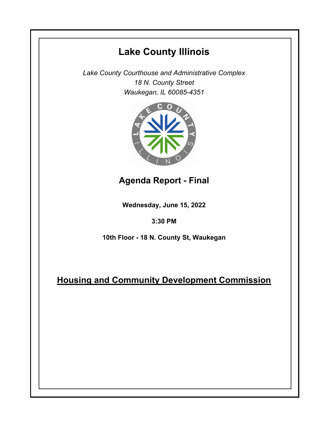# **Lake County Illinois**

*Lake County Courthouse and Administrative Complex 18 N. County Street Waukegan, IL 60085-4351*



## **Agenda Report - Final**

**Wednesday, June 15, 2022**

### **3:30 PM**

**10th Floor - 18 N. County St, Waukegan**

### **Housing and Community Development Commission**